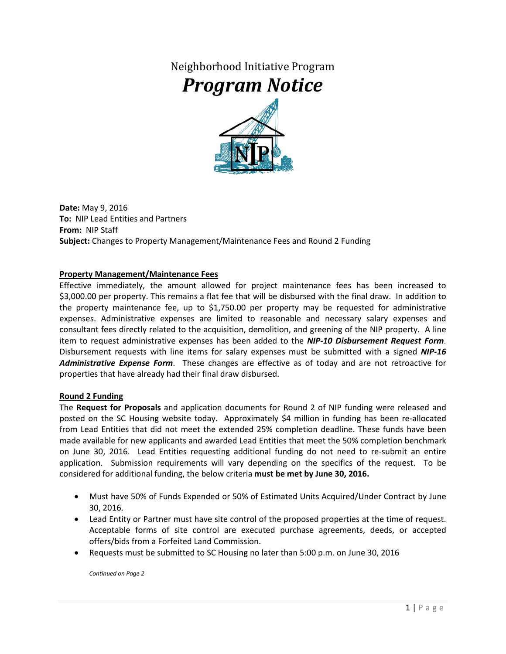Neighborhood Initiative Program

## *Program Notice*



**Date:** May 9, 2016 **To:** NIP Lead Entities and Partners **From:** NIP Staff **Subject:** Changes to Property Management/Maintenance Fees and Round 2 Funding

## **Property Management/Maintenance Fees**

Effective immediately, the amount allowed for project maintenance fees has been increased to \$3,000.00 per property. This remains a flat fee that will be disbursed with the final draw. In addition to the property maintenance fee, up to \$1,750.00 per property may be requested for administrative expenses. Administrative expenses are limited to reasonable and necessary salary expenses and consultant fees directly related to the acquisition, demolition, and greening of the NIP property. A line item to request administrative expenses has been added to the *NIP-10 Disbursement Request Form*. Disbursement requests with line items for salary expenses must be submitted with a signed *NIP-16 Administrative Expense Form*. These changes are effective as of today and are not retroactive for properties that have already had their final draw disbursed.

## **Round 2 Funding**

The **Request for Proposals** and application documents for Round 2 of NIP funding were released and posted on the SC Housing website today. Approximately \$4 million in funding has been re-allocated from Lead Entities that did not meet the extended 25% completion deadline. These funds have been made available for new applicants and awarded Lead Entities that meet the 50% completion benchmark on June 30, 2016. Lead Entities requesting additional funding do not need to re-submit an entire application. Submission requirements will vary depending on the specifics of the request. To be considered for additional funding, the below criteria **must be met by June 30, 2016.**

- Must have 50% of Funds Expended or 50% of Estimated Units Acquired/Under Contract by June 30, 2016.
- Lead Entity or Partner must have site control of the proposed properties at the time of request. Acceptable forms of site control are executed purchase agreements, deeds, or accepted offers/bids from a Forfeited Land Commission.
- Requests must be submitted to SC Housing no later than 5:00 p.m. on June 30, 2016

*Continued on Page 2*